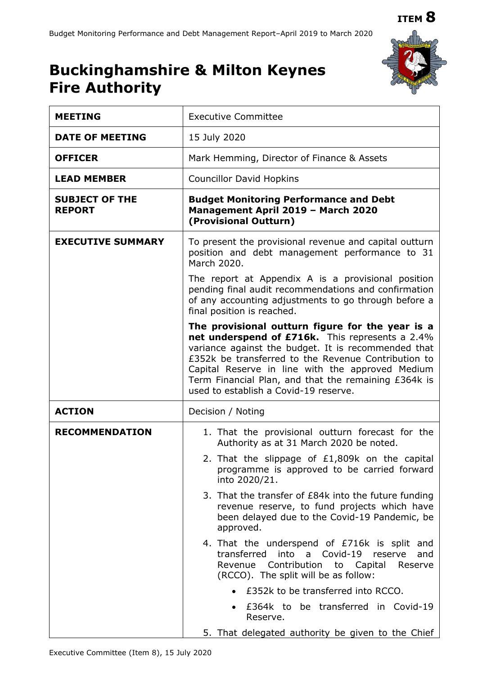## **ITEM 8**



# **Buckinghamshire & Milton Keynes Fire Authority**

| <b>MEETING</b>                         | <b>Executive Committee</b>                                                                                                                                                                                                                                                                                                                                             |  |  |  |  |
|----------------------------------------|------------------------------------------------------------------------------------------------------------------------------------------------------------------------------------------------------------------------------------------------------------------------------------------------------------------------------------------------------------------------|--|--|--|--|
| <b>DATE OF MEETING</b>                 | 15 July 2020                                                                                                                                                                                                                                                                                                                                                           |  |  |  |  |
| <b>OFFICER</b>                         | Mark Hemming, Director of Finance & Assets                                                                                                                                                                                                                                                                                                                             |  |  |  |  |
| <b>LEAD MEMBER</b>                     | <b>Councillor David Hopkins</b>                                                                                                                                                                                                                                                                                                                                        |  |  |  |  |
| <b>SUBJECT OF THE</b><br><b>REPORT</b> | <b>Budget Monitoring Performance and Debt</b><br>Management April 2019 - March 2020<br>(Provisional Outturn)                                                                                                                                                                                                                                                           |  |  |  |  |
| <b>EXECUTIVE SUMMARY</b>               | To present the provisional revenue and capital outturn<br>position and debt management performance to 31<br>March 2020.<br>The report at Appendix A is a provisional position                                                                                                                                                                                          |  |  |  |  |
|                                        | pending final audit recommendations and confirmation<br>of any accounting adjustments to go through before a<br>final position is reached.                                                                                                                                                                                                                             |  |  |  |  |
|                                        | The provisional outturn figure for the year is a<br>net underspend of £716k. This represents a 2.4%<br>variance against the budget. It is recommended that<br>£352k be transferred to the Revenue Contribution to<br>Capital Reserve in line with the approved Medium<br>Term Financial Plan, and that the remaining £364k is<br>used to establish a Covid-19 reserve. |  |  |  |  |
| <b>ACTION</b>                          | Decision / Noting                                                                                                                                                                                                                                                                                                                                                      |  |  |  |  |
| <b>RECOMMENDATION</b>                  | 1. That the provisional outturn forecast for the<br>Authority as at 31 March 2020 be noted.<br>2. That the slippage of £1,809k on the capital<br>programme is approved to be carried forward<br>into 2020/21.                                                                                                                                                          |  |  |  |  |
|                                        | 3. That the transfer of £84k into the future funding<br>revenue reserve, to fund projects which have<br>been delayed due to the Covid-19 Pandemic, be<br>approved.                                                                                                                                                                                                     |  |  |  |  |
|                                        | 4. That the underspend of £716k is split and<br>a Covid-19<br>transferred<br>into<br>reserve<br>and<br>Contribution<br>Revenue<br>to Capital<br>Reserve<br>(RCCO). The split will be as follow:                                                                                                                                                                        |  |  |  |  |
|                                        | • £352k to be transferred into RCCO.                                                                                                                                                                                                                                                                                                                                   |  |  |  |  |
|                                        | £364k to be transferred in Covid-19<br>Reserve.                                                                                                                                                                                                                                                                                                                        |  |  |  |  |
|                                        | 5. That delegated authority be given to the Chief                                                                                                                                                                                                                                                                                                                      |  |  |  |  |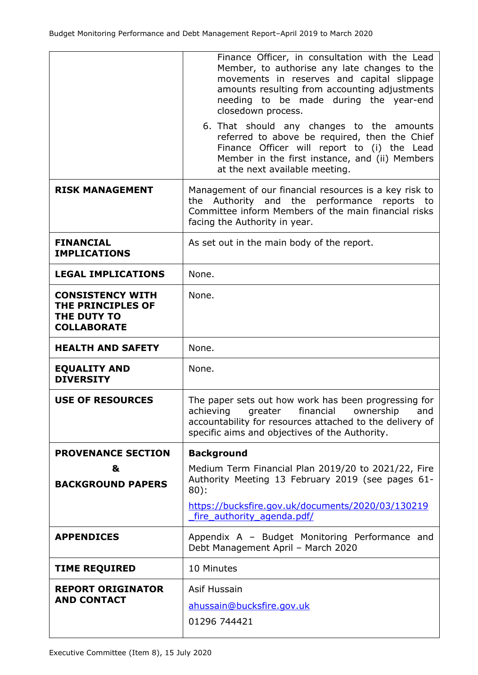|                                                                                   | Finance Officer, in consultation with the Lead<br>Member, to authorise any late changes to the<br>movements in reserves and capital slippage<br>amounts resulting from accounting adjustments<br>needing to be made during the year-end<br>closedown process. |
|-----------------------------------------------------------------------------------|---------------------------------------------------------------------------------------------------------------------------------------------------------------------------------------------------------------------------------------------------------------|
|                                                                                   | 6. That should any changes to the amounts<br>referred to above be required, then the Chief<br>Finance Officer will report to (i) the Lead<br>Member in the first instance, and (ii) Members<br>at the next available meeting.                                 |
| <b>RISK MANAGEMENT</b>                                                            | Management of our financial resources is a key risk to<br>the Authority and the performance reports to<br>Committee inform Members of the main financial risks<br>facing the Authority in year.                                                               |
| <b>FINANCIAL</b><br><b>IMPLICATIONS</b>                                           | As set out in the main body of the report.                                                                                                                                                                                                                    |
| <b>LEGAL IMPLICATIONS</b>                                                         | None.                                                                                                                                                                                                                                                         |
| <b>CONSISTENCY WITH</b><br>THE PRINCIPLES OF<br>THE DUTY TO<br><b>COLLABORATE</b> | None.                                                                                                                                                                                                                                                         |
| <b>HEALTH AND SAFETY</b>                                                          | None.                                                                                                                                                                                                                                                         |
| <b>EQUALITY AND</b><br><b>DIVERSITY</b>                                           | None.                                                                                                                                                                                                                                                         |
| <b>USE OF RESOURCES</b>                                                           | The paper sets out how work has been progressing for<br>achieving greater financial ownership and<br>accountability for resources attached to the delivery of<br>specific aims and objectives of the Authority.                                               |
| <b>PROVENANCE SECTION</b>                                                         | <b>Background</b>                                                                                                                                                                                                                                             |
| &<br><b>BACKGROUND PAPERS</b>                                                     | Medium Term Financial Plan 2019/20 to 2021/22, Fire<br>Authority Meeting 13 February 2019 (see pages 61-<br>$80$ :                                                                                                                                            |
|                                                                                   | https://bucksfire.gov.uk/documents/2020/03/130219<br>fire authority agenda.pdf/                                                                                                                                                                               |
| <b>APPENDICES</b>                                                                 | Appendix A - Budget Monitoring Performance and<br>Debt Management April - March 2020                                                                                                                                                                          |
| <b>TIME REQUIRED</b>                                                              | 10 Minutes                                                                                                                                                                                                                                                    |
| <b>REPORT ORIGINATOR</b><br><b>AND CONTACT</b>                                    | Asif Hussain<br>ahussain@bucksfire.gov.uk                                                                                                                                                                                                                     |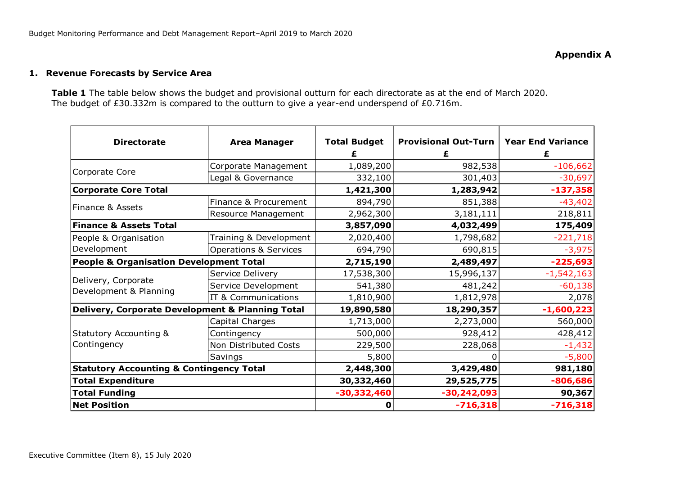### **1. Revenue Forecasts by Service Area**

**Table 1** The table below shows the budget and provisional outturn for each directorate as at the end of March 2020. The budget of £30.332m is compared to the outturn to give a year-end underspend of £0.716m.

| <b>Directorate</b>                                  | <b>Area Manager</b>              | <b>Total Budget</b> | <b>Provisional Out-Turn</b> | <b>Year End Variance</b> |
|-----------------------------------------------------|----------------------------------|---------------------|-----------------------------|--------------------------|
|                                                     |                                  |                     | £                           | £                        |
|                                                     | Corporate Management             | 1,089,200           | 982,538                     | $-106,662$               |
| Corporate Core                                      | Legal & Governance               | 332,100             | 301,403                     | $-30,697$                |
| <b>Corporate Core Total</b>                         |                                  | 1,421,300           | 1,283,942                   | $-137,358$               |
| Finance & Assets                                    | Finance & Procurement            | 894,790             | 851,388                     | $-43,402$                |
|                                                     | Resource Management              | 2,962,300           | 3,181,111                   | 218,811                  |
| <b>Finance &amp; Assets Total</b>                   |                                  | 3,857,090           | 4,032,499                   | 175,409                  |
| People & Organisation                               | Training & Development           | 2,020,400           | 1,798,682                   | $-221,718$               |
| Development                                         | <b>Operations &amp; Services</b> | 694,790             | 690,815                     | $-3,975$                 |
| <b>People &amp; Organisation Development Total</b>  |                                  | 2,715,190           | 2,489,497                   | $-225,693$               |
|                                                     | Service Delivery                 | 17,538,300          | 15,996,137                  | $-1,542,163$             |
| Delivery, Corporate<br>Development & Planning       | Service Development              | 541,380             | 481,242                     | $-60,138$                |
|                                                     | IT & Communications              | 1,810,900           | 1,812,978                   | 2,078                    |
| Delivery, Corporate Development & Planning Total    |                                  | 19,890,580          | 18,290,357                  | $-1,600,223$             |
|                                                     | Capital Charges                  | 1,713,000           | 2,273,000                   | 560,000                  |
| <b>Statutory Accounting &amp;</b>                   | Contingency                      | 500,000             | 928,412                     | 428,412                  |
| Contingency                                         | Non Distributed Costs            | 229,500             | 228,068                     | $-1,432$                 |
|                                                     | Savings                          | 5,800               |                             | $-5,800$                 |
| <b>Statutory Accounting &amp; Contingency Total</b> |                                  | 2,448,300           | 3,429,480                   | 981,180                  |
| <b>Total Expenditure</b>                            |                                  | 30,332,460          | 29,525,775                  | $-806,686$               |
| <b>Total Funding</b>                                |                                  | $-30,332,460$       | $-30,242,093$               | 90,367                   |
| <b>Net Position</b>                                 |                                  | 0                   | $-716,318$                  | $-716,318$               |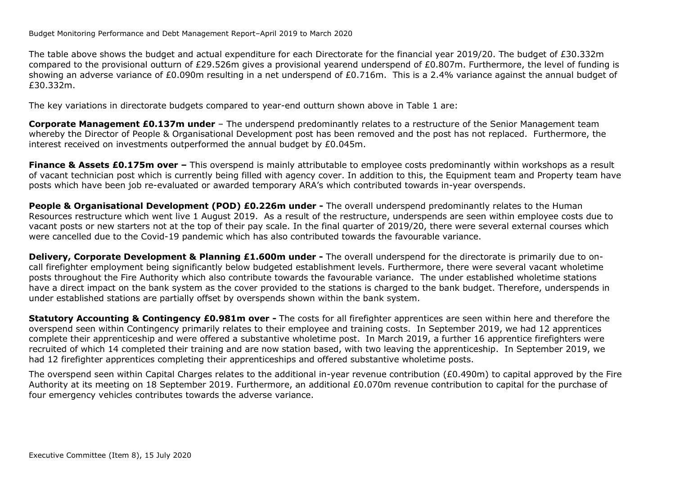Budget Monitoring Performance and Debt Management Report–April 2019 to March 2020

The table above shows the budget and actual expenditure for each Directorate for the financial year 2019/20. The budget of £30.332m compared to the provisional outturn of £29.526m gives a provisional yearend underspend of £0.807m. Furthermore, the level of funding is showing an adverse variance of £0.090m resulting in a net underspend of £0.716m. This is a 2.4% variance against the annual budget of £30.332m.

The key variations in directorate budgets compared to year-end outturn shown above in Table 1 are:

**Corporate Management £0.137m under** – The underspend predominantly relates to a restructure of the Senior Management team whereby the Director of People & Organisational Development post has been removed and the post has not replaced. Furthermore, the interest received on investments outperformed the annual budget by £0.045m.

**Finance & Assets £0.175m over – This overspend is mainly attributable to employee costs predominantly within workshops as a result** of vacant technician post which is currently being filled with agency cover. In addition to this, the Equipment team and Property team have posts which have been job re-evaluated or awarded temporary ARA's which contributed towards in-year overspends.

**People & Organisational Development (POD) £0.226m under -** The overall underspend predominantly relates to the Human Resources restructure which went live 1 August 2019. As a result of the restructure, underspends are seen within employee costs due to vacant posts or new starters not at the top of their pay scale. In the final quarter of 2019/20, there were several external courses which were cancelled due to the Covid-19 pandemic which has also contributed towards the favourable variance.

**Delivery, Corporate Development & Planning £1.600m under -** The overall underspend for the directorate is primarily due to oncall firefighter employment being significantly below budgeted establishment levels. Furthermore, there were several vacant wholetime posts throughout the Fire Authority which also contribute towards the favourable variance. The under established wholetime stations have a direct impact on the bank system as the cover provided to the stations is charged to the bank budget. Therefore, underspends in under established stations are partially offset by overspends shown within the bank system.

**Statutory Accounting & Contingency £0.981m over -** The costs for all firefighter apprentices are seen within here and therefore the overspend seen within Contingency primarily relates to their employee and training costs. In September 2019, we had 12 apprentices complete their apprenticeship and were offered a substantive wholetime post. In March 2019, a further 16 apprentice firefighters were recruited of which 14 completed their training and are now station based, with two leaving the apprenticeship. In September 2019, we had 12 firefighter apprentices completing their apprenticeships and offered substantive wholetime posts.

The overspend seen within Capital Charges relates to the additional in-year revenue contribution (£0.490m) to capital approved by the Fire Authority at its meeting on 18 September 2019. Furthermore, an additional £0.070m revenue contribution to capital for the purchase of four emergency vehicles contributes towards the adverse variance.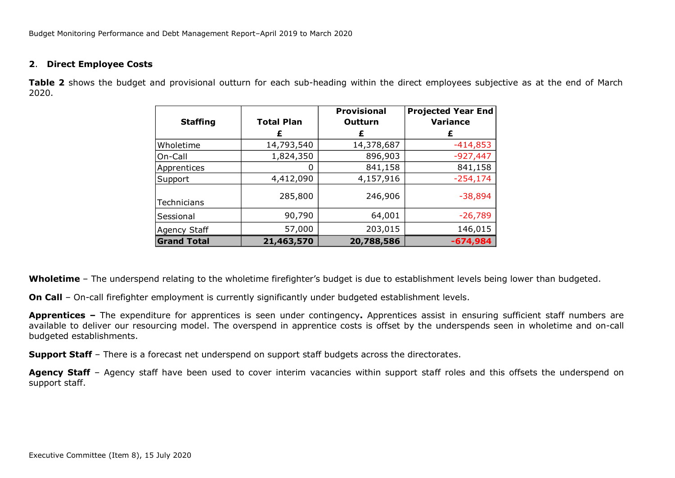### **2**. **Direct Employee Costs**

**Table 2** shows the budget and provisional outturn for each sub-heading within the direct employees subjective as at the end of March 2020.

| <b>Staffing</b>    | <b>Total Plan</b> | <b>Provisional</b><br><b>Outturn</b> | <b>Projected Year End</b><br><b>Variance</b> |
|--------------------|-------------------|--------------------------------------|----------------------------------------------|
|                    | £                 | £                                    | £                                            |
| Wholetime          | 14,793,540        | 14,378,687                           | $-414,853$                                   |
| On-Call            | 1,824,350         | 896,903                              | $-927,447$                                   |
| Apprentices        |                   | 841,158                              | 841,158                                      |
| Support            | 4,412,090         | 4,157,916                            | $-254,174$                                   |
| Technicians        | 285,800           | 246,906                              | $-38,894$                                    |
| Sessional          | 90,790            | 64,001                               | $-26,789$                                    |
| Agency Staff       | 57,000            | 203,015                              | 146,015                                      |
| <b>Grand Total</b> | 21,463,570        | 20,788,586                           | $-674,984$                                   |

**Wholetime** – The underspend relating to the wholetime firefighter's budget is due to establishment levels being lower than budgeted.

**On Call** – On-call firefighter employment is currently significantly under budgeted establishment levels.

**Apprentices –** The expenditure for apprentices is seen under contingency**.** Apprentices assist in ensuring sufficient staff numbers are available to deliver our resourcing model. The overspend in apprentice costs is offset by the underspends seen in wholetime and on-call budgeted establishments.

**Support Staff** – There is a forecast net underspend on support staff budgets across the directorates.

Agency Staff - Agency staff have been used to cover interim vacancies within support staff roles and this offsets the underspend on support staff.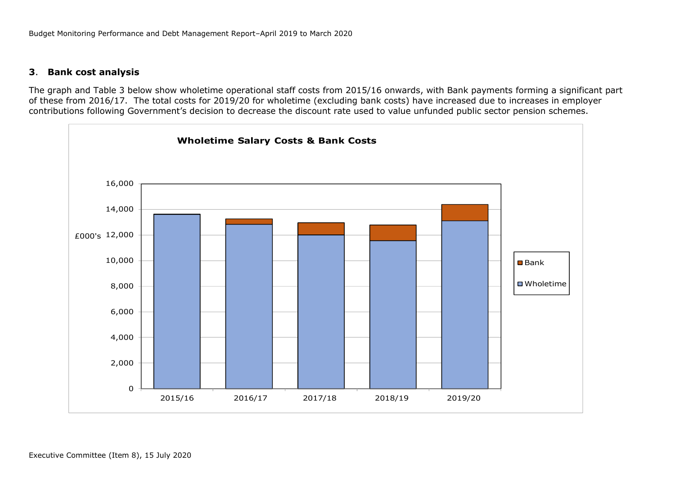## **3**. **Bank cost analysis**

The graph and Table 3 below show wholetime operational staff costs from 2015/16 onwards, with Bank payments forming a significant part of these from 2016/17. The total costs for 2019/20 for wholetime (excluding bank costs) have increased due to increases in employer contributions following Government's decision to decrease the discount rate used to value unfunded public sector pension schemes.

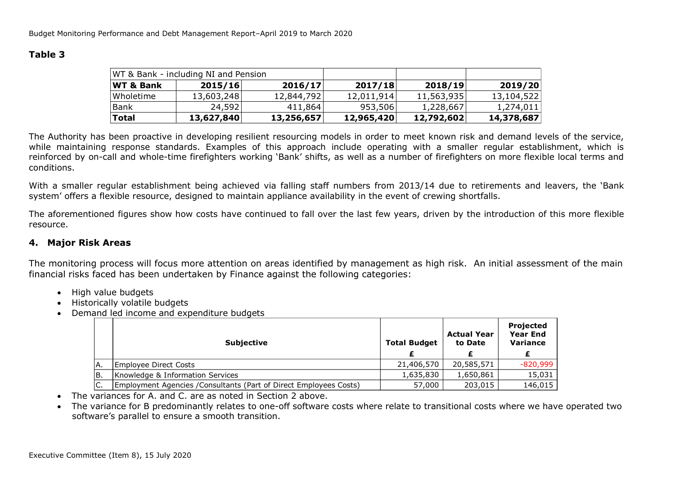## **Table 3**

|                      | WT & Bank - including NI and Pension |            |            |            |            |
|----------------------|--------------------------------------|------------|------------|------------|------------|
| <b>WT &amp; Bank</b> | 2015/16                              | 2016/17    | 2017/18    | 2018/19    | 2019/20    |
| Wholetime            | 13,603,248                           | 12,844,792 | 12,011,914 | 11,563,935 | 13,104,522 |
| Bank                 | 24,592                               | 411,864    | 953,506    | 1,228,667  | 1,274,011  |
| <b>Total</b>         | 13,627,840                           | 13,256,657 | 12,965,420 | 12,792,602 | 14,378,687 |

The Authority has been proactive in developing resilient resourcing models in order to meet known risk and demand levels of the service, while maintaining response standards. Examples of this approach include operating with a smaller regular establishment, which is reinforced by on-call and whole-time firefighters working 'Bank' shifts, as well as a number of firefighters on more flexible local terms and conditions.

With a smaller regular establishment being achieved via falling staff numbers from 2013/14 due to retirements and leavers, the 'Bank system' offers a flexible resource, designed to maintain appliance availability in the event of crewing shortfalls.

The aforementioned figures show how costs have continued to fall over the last few years, driven by the introduction of this more flexible resource.

## **4. Major Risk Areas**

The monitoring process will focus more attention on areas identified by management as high risk. An initial assessment of the main financial risks faced has been undertaken by Finance against the following categories:

- High value budgets
- Historically volatile budgets
- Demand led income and expenditure budgets

|    | <b>Subjective</b>                                                  | <b>Total Budget</b> | <b>Actual Year</b><br>to Date | Projected<br><b>Year End</b><br><b>Variance</b> |
|----|--------------------------------------------------------------------|---------------------|-------------------------------|-------------------------------------------------|
|    |                                                                    |                     |                               |                                                 |
| Α. | Employee Direct Costs                                              | 21,406,570          | 20,585,571                    | $-820,999$                                      |
| В. | Knowledge & Information Services                                   | 1,635,830           | 1,650,861                     | 15,031                                          |
|    | Employment Agencies / Consultants (Part of Direct Employees Costs) | 57,000              | 203,015                       | 146,015                                         |

- The variances for A. and C. are as noted in Section 2 above.
- The variance for B predominantly relates to one-off software costs where relate to transitional costs where we have operated two software's parallel to ensure a smooth transition.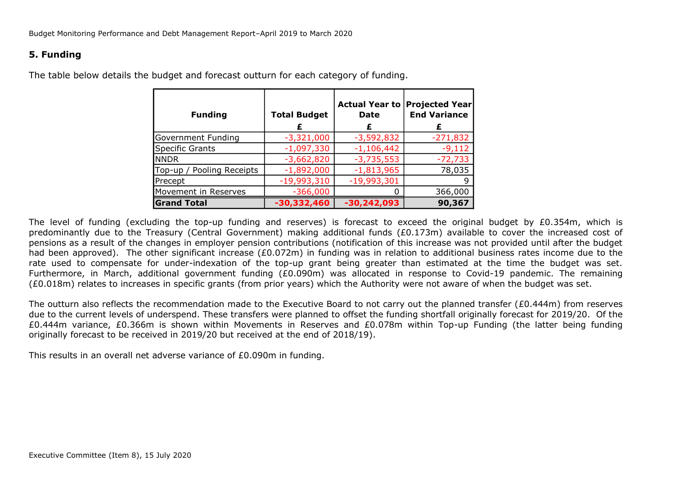## **5. Funding**

| <b>Funding</b>            | <b>Total Budget</b> | <b>Actual Year to</b><br>Date<br>£ | <b>Projected Yearl</b><br><b>End Variance</b><br>£ |
|---------------------------|---------------------|------------------------------------|----------------------------------------------------|
| Government Funding        | $-3,321,000$        | $-3,592,832$                       | $-271,832$                                         |
| Specific Grants           | $-1,097,330$        | $-1,106,442$                       | $-9,112$                                           |
| <b>NNDR</b>               | $-3,662,820$        | $-3,735,553$                       | $-72,733$                                          |
| Top-up / Pooling Receipts | $-1,892,000$        | $-1,813,965$                       | 78,035                                             |
| Precept                   | $-19,993,310$       | $-19,993,301$                      |                                                    |
| Movement in Reserves      | $-366,000$          |                                    | 366,000                                            |
| <b>Grand Total</b>        | -30,332,460         | $-30,242,093$                      | 90,367                                             |

The table below details the budget and forecast outturn for each category of funding.

The level of funding (excluding the top-up funding and reserves) is forecast to exceed the original budget by £0.354m, which is predominantly due to the Treasury (Central Government) making additional funds (£0.173m) available to cover the increased cost of pensions as a result of the changes in employer pension contributions (notification of this increase was not provided until after the budget had been approved). The other significant increase (£0.072m) in funding was in relation to additional business rates income due to the rate used to compensate for under-indexation of the top-up grant being greater than estimated at the time the budget was set. Furthermore, in March, additional government funding (£0.090m) was allocated in response to Covid-19 pandemic. The remaining (£0.018m) relates to increases in specific grants (from prior years) which the Authority were not aware of when the budget was set.

The outturn also reflects the recommendation made to the Executive Board to not carry out the planned transfer (£0.444m) from reserves due to the current levels of underspend. These transfers were planned to offset the funding shortfall originally forecast for 2019/20. Of the £0.444m variance, £0.366m is shown within Movements in Reserves and £0.078m within Top-up Funding (the latter being funding originally forecast to be received in 2019/20 but received at the end of 2018/19).

This results in an overall net adverse variance of £0.090m in funding.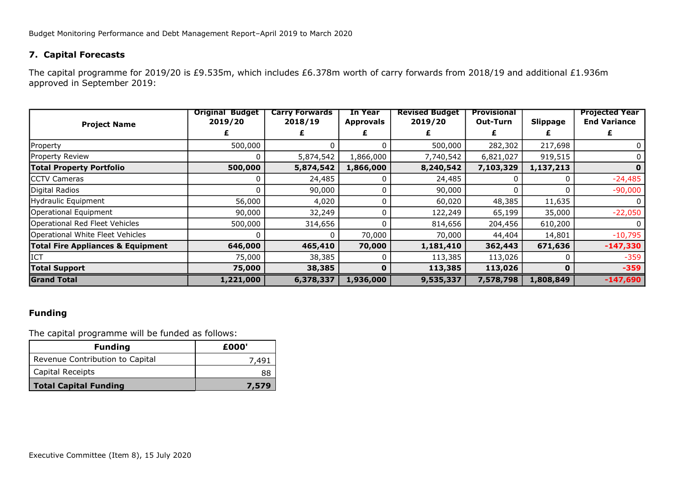## **7. Capital Forecasts**

The capital programme for 2019/20 is £9.535m, which includes £6.378m worth of carry forwards from 2018/19 and additional £1.936m approved in September 2019:

| <b>Project Name</b>                          | <b>Original Budget</b><br>2019/20 | <b>Carry Forwards</b><br>2018/19 | <b>In Year</b><br><b>Approvals</b> | <b>Revised Budget</b><br>2019/20 | <b>Provisional</b><br><b>Out-Turn</b> | <b>Slippage</b> | <b>Projected Year</b><br><b>End Variance</b> |
|----------------------------------------------|-----------------------------------|----------------------------------|------------------------------------|----------------------------------|---------------------------------------|-----------------|----------------------------------------------|
|                                              |                                   |                                  |                                    | £                                |                                       |                 |                                              |
| Property                                     | 500,000                           |                                  |                                    | 500,000                          | 282,302                               | 217,698         |                                              |
| Property Review                              |                                   | 5,874,542                        | 1,866,000                          | 7,740,542                        | 6,821,027                             | 919,515         | 0                                            |
| <b>Total Property Portfolio</b>              | 500,000                           | 5,874,542                        | 1,866,000                          | 8,240,542                        | 7,103,329                             | 1,137,213       |                                              |
| <b>CCTV Cameras</b>                          |                                   | 24,485                           |                                    | 24,485                           |                                       |                 | $-24,485$                                    |
| Digital Radios                               |                                   | 90,000                           | 0                                  | 90,000                           | 0                                     |                 | $-90,000$                                    |
| Hydraulic Equipment                          | 56,000                            | 4,020                            |                                    | 60,020                           | 48,385                                | 11,635          |                                              |
| Operational Equipment                        | 90,000                            | 32,249                           |                                    | 122,249                          | 65,199                                | 35,000          | $-22,050$                                    |
| Operational Red Fleet Vehicles               | 500,000                           | 314,656                          | 0                                  | 814,656                          | 204,456                               | 610,200         | 0                                            |
| Operational White Fleet Vehicles             |                                   |                                  | 70,000                             | 70,000                           | 44,404                                | 14,801          | $-10,795$                                    |
| <b>Total Fire Appliances &amp; Equipment</b> | 646,000                           | 465,410                          | 70,000                             | 1,181,410                        | 362,443                               | 671,636         | $-147,330$                                   |
| <b>ICT</b>                                   | 75,000                            | 38,385                           |                                    | 113,385                          | 113,026                               |                 | $-359$                                       |
| <b>Total Support</b>                         | 75,000                            | 38,385                           | 0                                  | 113,385                          | 113,026                               | $\bf{0}$        | $-359$                                       |
| <b>Grand Total</b>                           | 1,221,000                         | 6,378,337                        | 1,936,000                          | 9,535,337                        | 7,578,798                             | 1,808,849       | $-147,690$                                   |

## **Funding**

The capital programme will be funded as follows:

| <b>Funding</b>                  | £000' |
|---------------------------------|-------|
| Revenue Contribution to Capital | 7.49  |
| Capital Receipts                |       |
| Total Capital Funding           | 7,579 |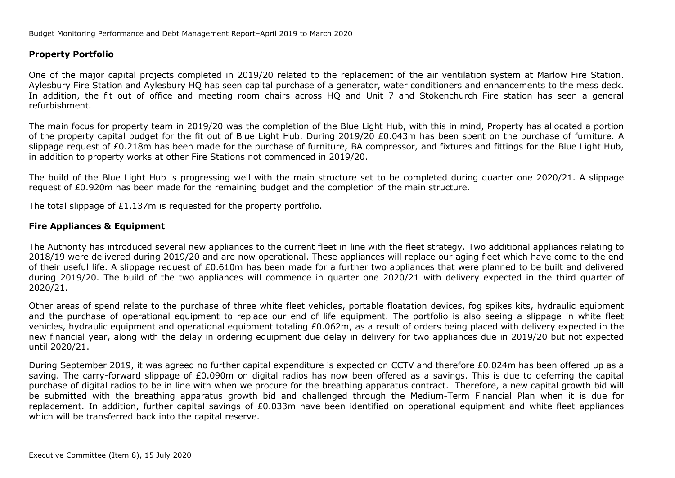### **Property Portfolio**

One of the major capital projects completed in 2019/20 related to the replacement of the air ventilation system at Marlow Fire Station. Aylesbury Fire Station and Aylesbury HQ has seen capital purchase of a generator, water conditioners and enhancements to the mess deck. In addition, the fit out of office and meeting room chairs across HQ and Unit 7 and Stokenchurch Fire station has seen a general refurbishment.

The main focus for property team in 2019/20 was the completion of the Blue Light Hub, with this in mind, Property has allocated a portion of the property capital budget for the fit out of Blue Light Hub. During 2019/20 £0.043m has been spent on the purchase of furniture. A slippage request of £0.218m has been made for the purchase of furniture, BA compressor, and fixtures and fittings for the Blue Light Hub, in addition to property works at other Fire Stations not commenced in 2019/20.

The build of the Blue Light Hub is progressing well with the main structure set to be completed during quarter one 2020/21. A slippage request of £0.920m has been made for the remaining budget and the completion of the main structure.

The total slippage of £1.137m is requested for the property portfolio.

### **Fire Appliances & Equipment**

The Authority has introduced several new appliances to the current fleet in line with the fleet strategy. Two additional appliances relating to 2018/19 were delivered during 2019/20 and are now operational. These appliances will replace our aging fleet which have come to the end of their useful life. A slippage request of £0.610m has been made for a further two appliances that were planned to be built and delivered during 2019/20. The build of the two appliances will commence in quarter one 2020/21 with delivery expected in the third quarter of 2020/21.

Other areas of spend relate to the purchase of three white fleet vehicles, portable floatation devices, fog spikes kits, hydraulic equipment and the purchase of operational equipment to replace our end of life equipment. The portfolio is also seeing a slippage in white fleet vehicles, hydraulic equipment and operational equipment totaling £0.062m, as a result of orders being placed with delivery expected in the new financial year, along with the delay in ordering equipment due delay in delivery for two appliances due in 2019/20 but not expected until 2020/21.

During September 2019, it was agreed no further capital expenditure is expected on CCTV and therefore £0.024m has been offered up as a saving. The carry-forward slippage of £0.090m on digital radios has now been offered as a savings. This is due to deferring the capital purchase of digital radios to be in line with when we procure for the breathing apparatus contract. Therefore, a new capital growth bid will be submitted with the breathing apparatus growth bid and challenged through the Medium-Term Financial Plan when it is due for replacement. In addition, further capital savings of £0.033m have been identified on operational equipment and white fleet appliances which will be transferred back into the capital reserve.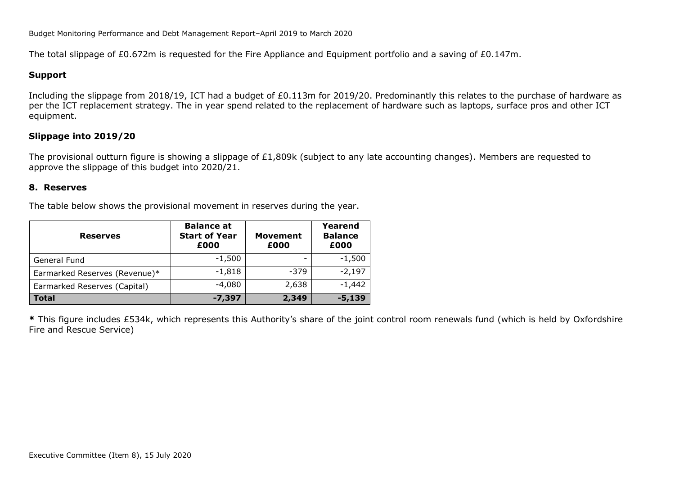The total slippage of £0.672m is requested for the Fire Appliance and Equipment portfolio and a saving of £0.147m.

### **Support**

Including the slippage from 2018/19, ICT had a budget of £0.113m for 2019/20. Predominantly this relates to the purchase of hardware as per the ICT replacement strategy. The in year spend related to the replacement of hardware such as laptops, surface pros and other ICT equipment.

## **Slippage into 2019/20**

The provisional outturn figure is showing a slippage of  $£1,809k$  (subject to any late accounting changes). Members are requested to approve the slippage of this budget into 2020/21.

#### **8. Reserves**

The table below shows the provisional movement in reserves during the year.

| <b>Reserves</b>               | <b>Balance at</b><br><b>Start of Year</b><br>£000 | <b>Movement</b><br>£000 | Yearend<br><b>Balance</b><br>£000 |
|-------------------------------|---------------------------------------------------|-------------------------|-----------------------------------|
| General Fund                  | $-1,500$                                          |                         | $-1,500$                          |
| Earmarked Reserves (Revenue)* | $-1,818$                                          | $-379$                  | $-2,197$                          |
| Earmarked Reserves (Capital)  | $-4,080$                                          | 2,638                   | $-1,442$                          |
| <b>Total</b>                  | $-7,397$                                          | 2,349                   | $-5,139$                          |

**\*** This figure includes £534k, which represents this Authority's share of the joint control room renewals fund (which is held by Oxfordshire Fire and Rescue Service)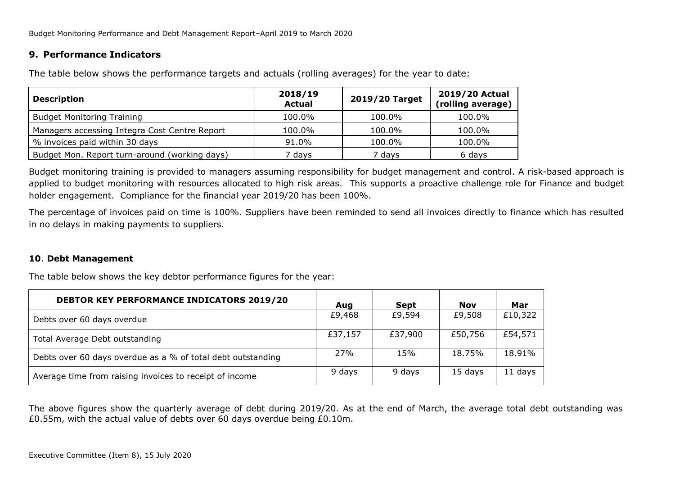## **9. Performance Indicators**

**Description 2018/19 Actual 2019/20 Target 2019/20 Actual (rolling average)** Budget Monitoring Training 100.0% 100.0% 100.0% 100.0% 100.0% Managers accessing Integra Cost Centre Report 100.0% 100.0% 100.0% 100.0% 100.0% % invoices paid within 30 days  $\vert$  91.0%  $\vert$  100.0%  $\vert$  100.0% 100.0% Budget Mon. Report turn-around (working days) 7 days 7 days 6 days

The table below shows the performance targets and actuals (rolling averages) for the year to date:

Budget monitoring training is provided to managers assuming responsibility for budget management and control. A risk-based approach is applied to budget monitoring with resources allocated to high risk areas. This supports a proactive challenge role for Finance and budget holder engagement. Compliance for the financial year 2019/20 has been 100%.

The percentage of invoices paid on time is 100%. Suppliers have been reminded to send all invoices directly to finance which has resulted in no delays in making payments to suppliers.

### **10**. **Debt Management**

The table below shows the key debtor performance figures for the year:

| <b>DEBTOR KEY PERFORMANCE INDICATORS 2019/20</b>            | Aug        | <b>Sept</b> | <b>Nov</b> | Mar     |
|-------------------------------------------------------------|------------|-------------|------------|---------|
| Debts over 60 days overdue                                  | £9,468     | £9,594      | £9,508     | £10,322 |
| Total Average Debt outstanding                              | £37,157    | £37,900     | £50,756    | £54,571 |
| Debts over 60 days overdue as a % of total debt outstanding | <b>27%</b> | 15%         | 18.75%     | 18.91%  |
| Average time from raising invoices to receipt of income     | 9 days     | 9 days      | 15 days    | 11 days |

The above figures show the quarterly average of debt during 2019/20. As at the end of March, the average total debt outstanding was £0.55m, with the actual value of debts over 60 days overdue being £0.10m.